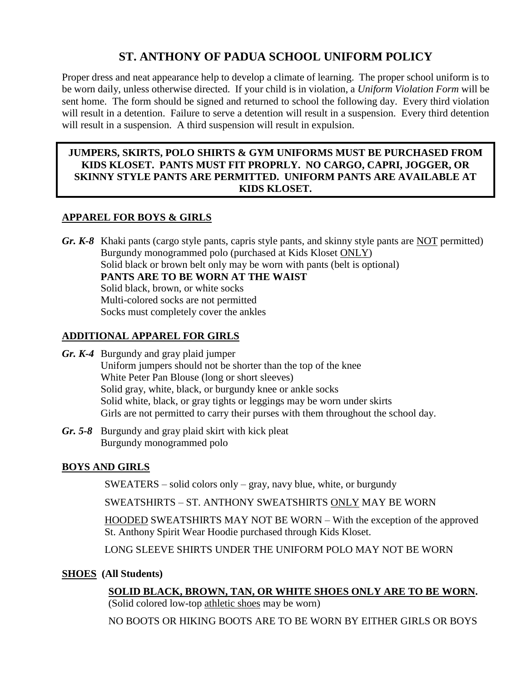# **ST. ANTHONY OF PADUA SCHOOL UNIFORM POLICY**

Proper dress and neat appearance help to develop a climate of learning. The proper school uniform is to be worn daily, unless otherwise directed. If your child is in violation, a *Uniform Violation Form* will be sent home. The form should be signed and returned to school the following day. Every third violation will result in a detention. Failure to serve a detention will result in a suspension. Every third detention will result in a suspension. A third suspension will result in expulsion.

#### **JUMPERS, SKIRTS, POLO SHIRTS & GYM UNIFORMS MUST BE PURCHASED FROM KIDS KLOSET. PANTS MUST FIT PROPRLY. NO CARGO, CAPRI, JOGGER, OR SKINNY STYLE PANTS ARE PERMITTED. UNIFORM PANTS ARE AVAILABLE AT KIDS KLOSET.**

## **APPAREL FOR BOYS & GIRLS**

*Gr. K-8* Khaki pants (cargo style pants, capris style pants, and skinny style pants are NOT permitted) Burgundy monogrammed polo (purchased at Kids Kloset ONLY) Solid black or brown belt only may be worn with pants (belt is optional) **PANTS ARE TO BE WORN AT THE WAIST** Solid black, brown, or white socks Multi-colored socks are not permitted Socks must completely cover the ankles

## **ADDITIONAL APPAREL FOR GIRLS**

- *Gr. K-4* Burgundy and gray plaid jumper Uniform jumpers should not be shorter than the top of the knee White Peter Pan Blouse (long or short sleeves) Solid gray, white, black, or burgundy knee or ankle socks Solid white, black, or gray tights or leggings may be worn under skirts Girls are not permitted to carry their purses with them throughout the school day.
- *Gr. 5-8* Burgundy and gray plaid skirt with kick pleat Burgundy monogrammed polo

# **BOYS AND GIRLS**

SWEATERS – solid colors only – gray, navy blue, white, or burgundy

SWEATSHIRTS – ST. ANTHONY SWEATSHIRTS ONLY MAY BE WORN

HOODED SWEATSHIRTS MAY NOT BE WORN – With the exception of the approved St. Anthony Spirit Wear Hoodie purchased through Kids Kloset.

LONG SLEEVE SHIRTS UNDER THE UNIFORM POLO MAY NOT BE WORN

## **SHOES (All Students)**

**SOLID BLACK, BROWN, TAN, OR WHITE SHOES ONLY ARE TO BE WORN.**

(Solid colored low-top athletic shoes may be worn)

NO BOOTS OR HIKING BOOTS ARE TO BE WORN BY EITHER GIRLS OR BOYS